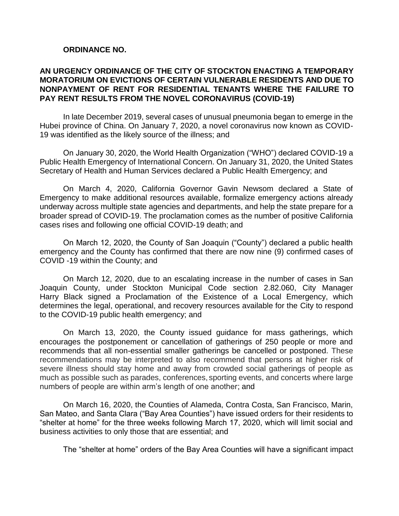#### **ORDINANCE NO.**

### **AN URGENCY ORDINANCE OF THE CITY OF STOCKTON ENACTING A TEMPORARY MORATORIUM ON EVICTIONS OF CERTAIN VULNERABLE RESIDENTS AND DUE TO NONPAYMENT OF RENT FOR RESIDENTIAL TENANTS WHERE THE FAILURE TO PAY RENT RESULTS FROM THE NOVEL CORONAVIRUS (COVID-19)**

In late December 2019, several cases of unusual pneumonia began to emerge in the Hubei province of China. On January 7, 2020, a novel coronavirus now known as COVID-19 was identified as the likely source of the illness; and

On January 30, 2020, the World Health Organization ("WHO") declared COVID-19 a Public Health Emergency of International Concern. On January 31, 2020, the United States Secretary of Health and Human Services declared a Public Health Emergency; and

On March 4, 2020, California Governor Gavin Newsom declared a State of Emergency to make additional resources available, formalize emergency actions already underway across multiple state agencies and departments, and help the state prepare for a broader spread of COVID-19. The proclamation comes as the number of positive California cases rises and following one official COVID-19 death; and

On March 12, 2020, the County of San Joaquin ("County") declared a public health emergency and the County has confirmed that there are now nine (9) confirmed cases of COVID -19 within the County; and

On March 12, 2020, due to an escalating increase in the number of cases in San Joaquin County, under Stockton Municipal Code section 2.82.060, City Manager Harry Black signed a Proclamation of the Existence of a Local Emergency, which determines the legal, operational, and recovery resources available for the City to respond to the COVID-19 public health emergency; and

On March 13, 2020, the County issued guidance for mass gatherings, which encourages the postponement or cancellation of gatherings of 250 people or more and recommends that all non-essential smaller gatherings be cancelled or postponed. These recommendations may be interpreted to also recommend that persons at higher risk of severe illness should stay home and away from crowded social gatherings of people as much as possible such as parades, conferences, sporting events, and concerts where large numbers of people are within arm's length of one another; and

On March 16, 2020, the Counties of Alameda, Contra Costa, San Francisco, Marin, San Mateo, and Santa Clara ("Bay Area Counties") have issued orders for their residents to "shelter at home" for the three weeks following March 17, 2020, which will limit social and business activities to only those that are essential; and

The "shelter at home" orders of the Bay Area Counties will have a significant impact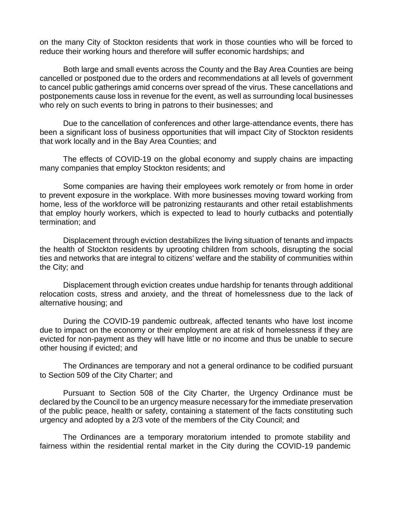on the many City of Stockton residents that work in those counties who will be forced to reduce their working hours and therefore will suffer economic hardships; and

Both large and small events across the County and the Bay Area Counties are being cancelled or postponed due to the orders and recommendations at all levels of government to cancel public gatherings amid concerns over spread of the virus. These cancellations and postponements cause loss in revenue for the event, as well as surrounding local businesses who rely on such events to bring in patrons to their businesses; and

Due to the cancellation of conferences and other large-attendance events, there has been a significant loss of business opportunities that will impact City of Stockton residents that work locally and in the Bay Area Counties; and

The effects of COVID-19 on the global economy and supply chains are impacting many companies that employ Stockton residents; and

Some companies are having their employees work remotely or from home in order to prevent exposure in the workplace. With more businesses moving toward working from home, less of the workforce will be patronizing restaurants and other retail establishments that employ hourly workers, which is expected to lead to hourly cutbacks and potentially termination; and

Displacement through eviction destabilizes the living situation of tenants and impacts the health of Stockton residents by uprooting children from schools, disrupting the social ties and networks that are integral to citizens' welfare and the stability of communities within the City; and

Displacement through eviction creates undue hardship for tenants through additional relocation costs, stress and anxiety, and the threat of homelessness due to the lack of alternative housing; and

During the COVID-19 pandemic outbreak, affected tenants who have lost income due to impact on the economy or their employment are at risk of homelessness if they are evicted for non-payment as they will have little or no income and thus be unable to secure other housing if evicted; and

The Ordinances are temporary and not a general ordinance to be codified pursuant to Section 509 of the City Charter; and

Pursuant to Section 508 of the City Charter, the Urgency Ordinance must be declared by the Council to be an urgency measure necessary for the immediate preservation of the public peace, health or safety, containing a statement of the facts constituting such urgency and adopted by a 2/3 vote of the members of the City Council; and

The Ordinances are a temporary moratorium intended to promote stability and fairness within the residential rental market in the City during the COVID-19 pandemic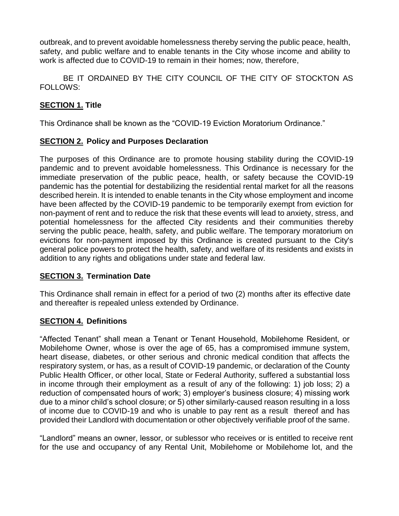outbreak, and to prevent avoidable homelessness thereby serving the public peace, health, safety, and public welfare and to enable tenants in the City whose income and ability to work is affected due to COVID-19 to remain in their homes; now, therefore,

BE IT ORDAINED BY THE CITY COUNCIL OF THE CITY OF STOCKTON AS FOLLOWS:

### **SECTION 1. Title**

This Ordinance shall be known as the "COVID-19 Eviction Moratorium Ordinance."

# **SECTION 2. Policy and Purposes Declaration**

The purposes of this Ordinance are to promote housing stability during the COVID-19 pandemic and to prevent avoidable homelessness. This Ordinance is necessary for the immediate preservation of the public peace, health, or safety because the COVID-19 pandemic has the potential for destabilizing the residential rental market for all the reasons described herein. It is intended to enable tenants in the City whose employment and income have been affected by the COVID-19 pandemic to be temporarily exempt from eviction for non-payment of rent and to reduce the risk that these events will lead to anxiety, stress, and potential homelessness for the affected City residents and their communities thereby serving the public peace, health, safety, and public welfare. The temporary moratorium on evictions for non-payment imposed by this Ordinance is created pursuant to the City's general police powers to protect the health, safety, and welfare of its residents and exists in addition to any rights and obligations under state and federal law.

### **SECTION 3. Termination Date**

This Ordinance shall remain in effect for a period of two (2) months after its effective date and thereafter is repealed unless extended by Ordinance.

### **SECTION 4. Definitions**

"Affected Tenant" shall mean a Tenant or Tenant Household, Mobilehome Resident, or Mobilehome Owner, whose is over the age of 65, has a compromised immune system, heart disease, diabetes, or other serious and chronic medical condition that affects the respiratory system, or has, as a result of COVID-19 pandemic, or declaration of the County Public Health Officer, or other local, State or Federal Authority, suffered a substantial loss in income through their employment as a result of any of the following: 1) job loss; 2) a reduction of compensated hours of work; 3) employer's business closure; 4) missing work due to a minor child's school closure; or 5) other similarly-caused reason resulting in a loss of income due to COVID-19 and who is unable to pay rent as a result thereof and has provided their Landlord with documentation or other objectively verifiable proof of the same.

"Landlord" means an owner, lessor, or sublessor who receives or is entitled to receive rent for the use and occupancy of any Rental Unit, Mobilehome or Mobilehome lot, and the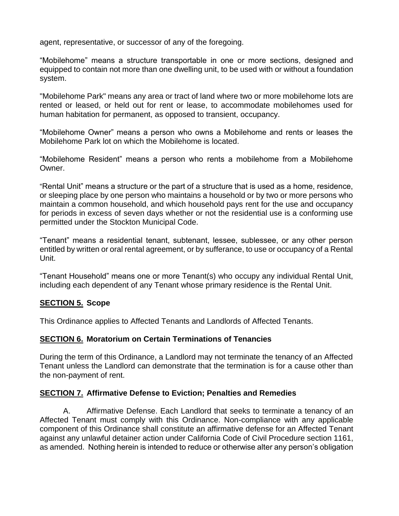agent, representative, or successor of any of the foregoing.

"Mobilehome" means a structure transportable in one or more sections, designed and equipped to contain not more than one dwelling unit, to be used with or without a foundation system.

"Mobilehome Park" means any area or tract of land where two or more mobilehome lots are rented or leased, or held out for rent or lease, to accommodate mobilehomes used for human habitation for permanent, as opposed to transient, occupancy.

"Mobilehome Owner" means a person who owns a Mobilehome and rents or leases the Mobilehome Park lot on which the Mobilehome is located.

"Mobilehome Resident" means a person who rents a mobilehome from a Mobilehome Owner.

"Rental Unit" means a structure or the part of a structure that is used as a home, residence, or sleeping place by one person who maintains a household or by two or more persons who maintain a common household, and which household pays rent for the use and occupancy for periods in excess of seven days whether or not the residential use is a conforming use permitted under the Stockton Municipal Code.

"Tenant" means a residential tenant, subtenant, lessee, sublessee, or any other person entitled by written or oral rental agreement, or by sufferance, to use or occupancy of a Rental Unit.

"Tenant Household" means one or more Tenant(s) who occupy any individual Rental Unit, including each dependent of any Tenant whose primary residence is the Rental Unit.

### **SECTION 5. Scope**

This Ordinance applies to Affected Tenants and Landlords of Affected Tenants.

### **SECTION 6. Moratorium on Certain Terminations of Tenancies**

During the term of this Ordinance, a Landlord may not terminate the tenancy of an Affected Tenant unless the Landlord can demonstrate that the termination is for a cause other than the non-payment of rent.

### **SECTION 7. Affirmative Defense to Eviction; Penalties and Remedies**

A. Affirmative Defense. Each Landlord that seeks to terminate a tenancy of an Affected Tenant must comply with this Ordinance. Non-compliance with any applicable component of this Ordinance shall constitute an affirmative defense for an Affected Tenant against any unlawful detainer action under California Code of Civil Procedure section 1161, as amended. Nothing herein is intended to reduce or otherwise alter any person's obligation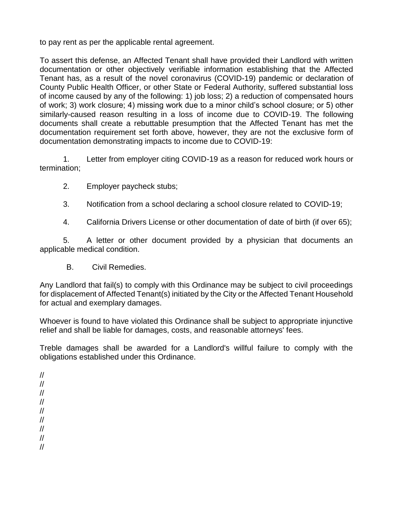to pay rent as per the applicable rental agreement.

To assert this defense, an Affected Tenant shall have provided their Landlord with written documentation or other objectively verifiable information establishing that the Affected Tenant has, as a result of the novel coronavirus (COVID-19) pandemic or declaration of County Public Health Officer, or other State or Federal Authority, suffered substantial loss of income caused by any of the following: 1) job loss; 2) a reduction of compensated hours of work; 3) work closure; 4) missing work due to a minor child's school closure; or 5) other similarly-caused reason resulting in a loss of income due to COVID-19. The following documents shall create a rebuttable presumption that the Affected Tenant has met the documentation requirement set forth above, however, they are not the exclusive form of documentation demonstrating impacts to income due to COVID-19:

1. Letter from employer citing COVID-19 as a reason for reduced work hours or termination;

- 2. Employer paycheck stubs;
- 3. Notification from a school declaring a school closure related to COVID-19;
- 4. California Drivers License or other documentation of date of birth (if over 65);

5. A letter or other document provided by a physician that documents an applicable medical condition.

B. Civil Remedies.

Any Landlord that fail(s) to comply with this Ordinance may be subject to civil proceedings for displacement of Affected Tenant(s) initiated by the City or the Affected Tenant Household for actual and exemplary damages.

Whoever is found to have violated this Ordinance shall be subject to appropriate injunctive relief and shall be liable for damages, costs, and reasonable attorneys' fees.

Treble damages shall be awarded for a Landlord's willful failure to comply with the obligations established under this Ordinance.

// // // // // // // // //